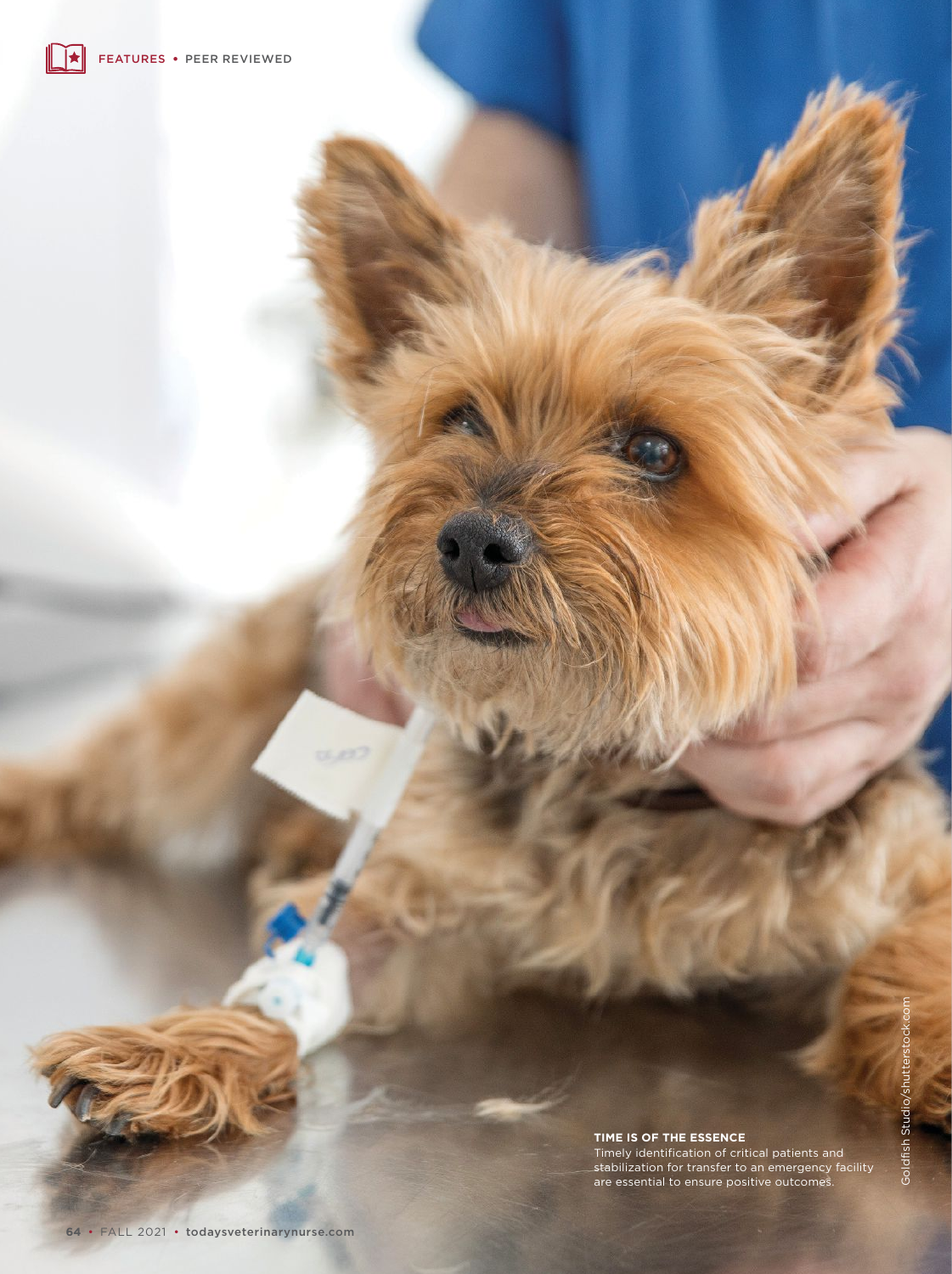# Goldfish Studio/shutterstock.com Goldfish Studio/shutterstocl

#### **TIME IS OF THE ESSENCE**

Timely identification of critical patients and stabilization for transfer to an emergency facility are essential to ensure positive outcomes.

 $(1, 127)$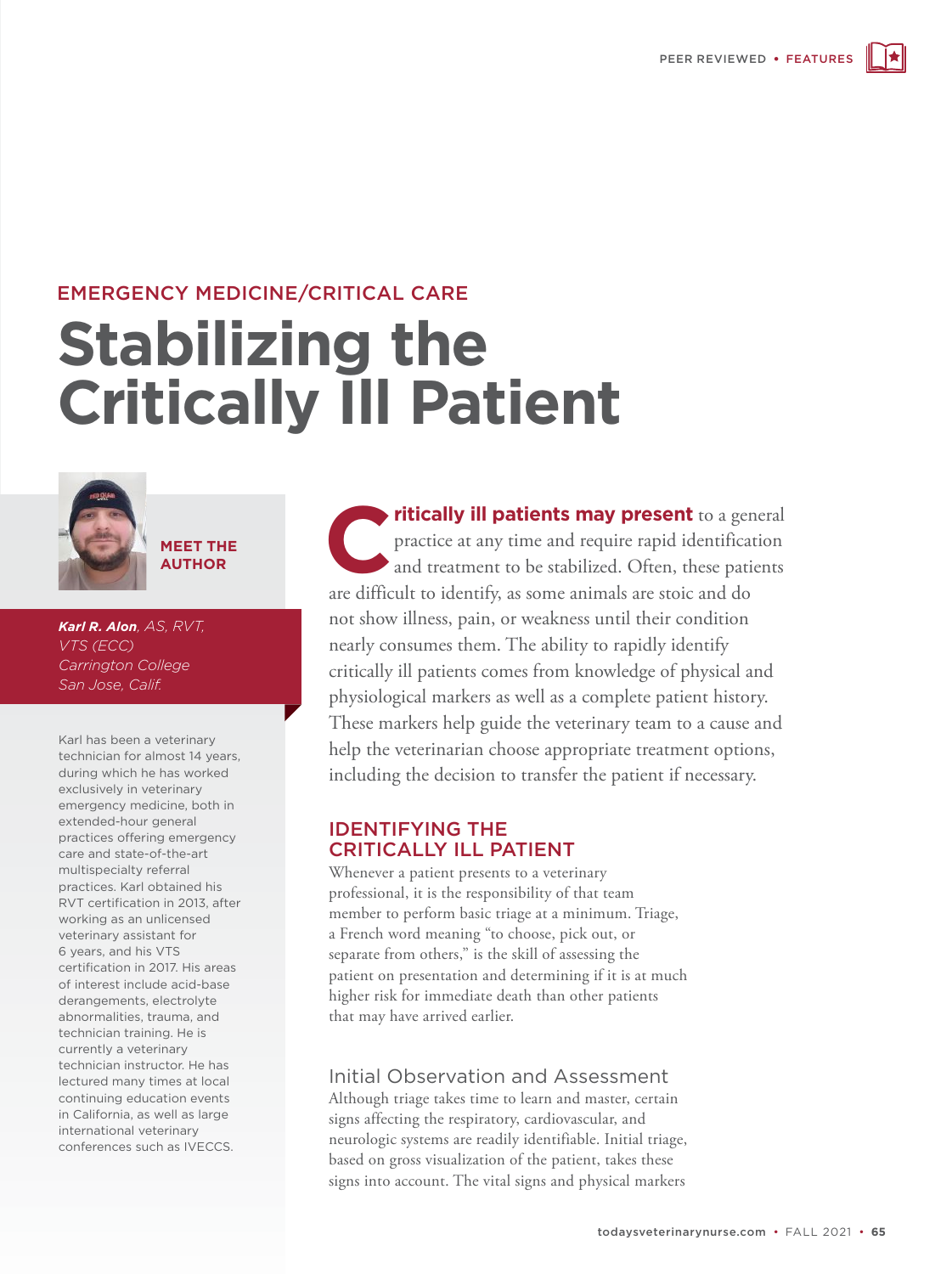# EMERGENCY MEDICINE/CRITICAL CARE

# **Stabilizing the Critically Ill Patient**



**MEET THE AUTHOR**

*Karl R. Alon, AS, RVT, VTS (ECC) Carrington College San Jose, Calif.*

Karl has been a veterinary technician for almost 14 years, during which he has worked exclusively in veterinary emergency medicine, both in extended-hour general practices offering emergency care and state-of-the-art multispecialty referral practices. Karl obtained his RVT certification in 2013, after working as an unlicensed veterinary assistant for 6 years, and his VTS certification in 2017. His areas of interest include acid-base derangements, electrolyte abnormalities, trauma, and technician training. He is currently a veterinary technician instructor. He has lectured many times at local continuing education events in California, as well as large international veterinary conferences such as IVECCS.

**Critically ill patients may present** to a general practice at any time and require rapid identification and treatment to be stabilized. Often, these patients practice at any time and require rapid identification and treatment to be stabilized. Often, these patients are difficult to identify, as some animals are stoic and do not show illness, pain, or weakness until their condition nearly consumes them. The ability to rapidly identify critically ill patients comes from knowledge of physical and physiological markers as well as a complete patient history. These markers help guide the veterinary team to a cause and help the veterinarian choose appropriate treatment options, including the decision to transfer the patient if necessary.

#### IDENTIFYING THE CRITICALLY ILL PATIENT

Whenever a patient presents to a veterinary professional, it is the responsibility of that team member to perform basic triage at a minimum. Triage, a French word meaning "to choose, pick out, or separate from others," is the skill of assessing the patient on presentation and determining if it is at much higher risk for immediate death than other patients that may have arrived earlier.

# Initial Observation and Assessment

Although triage takes time to learn and master, certain signs affecting the respiratory, cardiovascular, and neurologic systems are readily identifiable. Initial triage, based on gross visualization of the patient, takes these signs into account. The vital signs and physical markers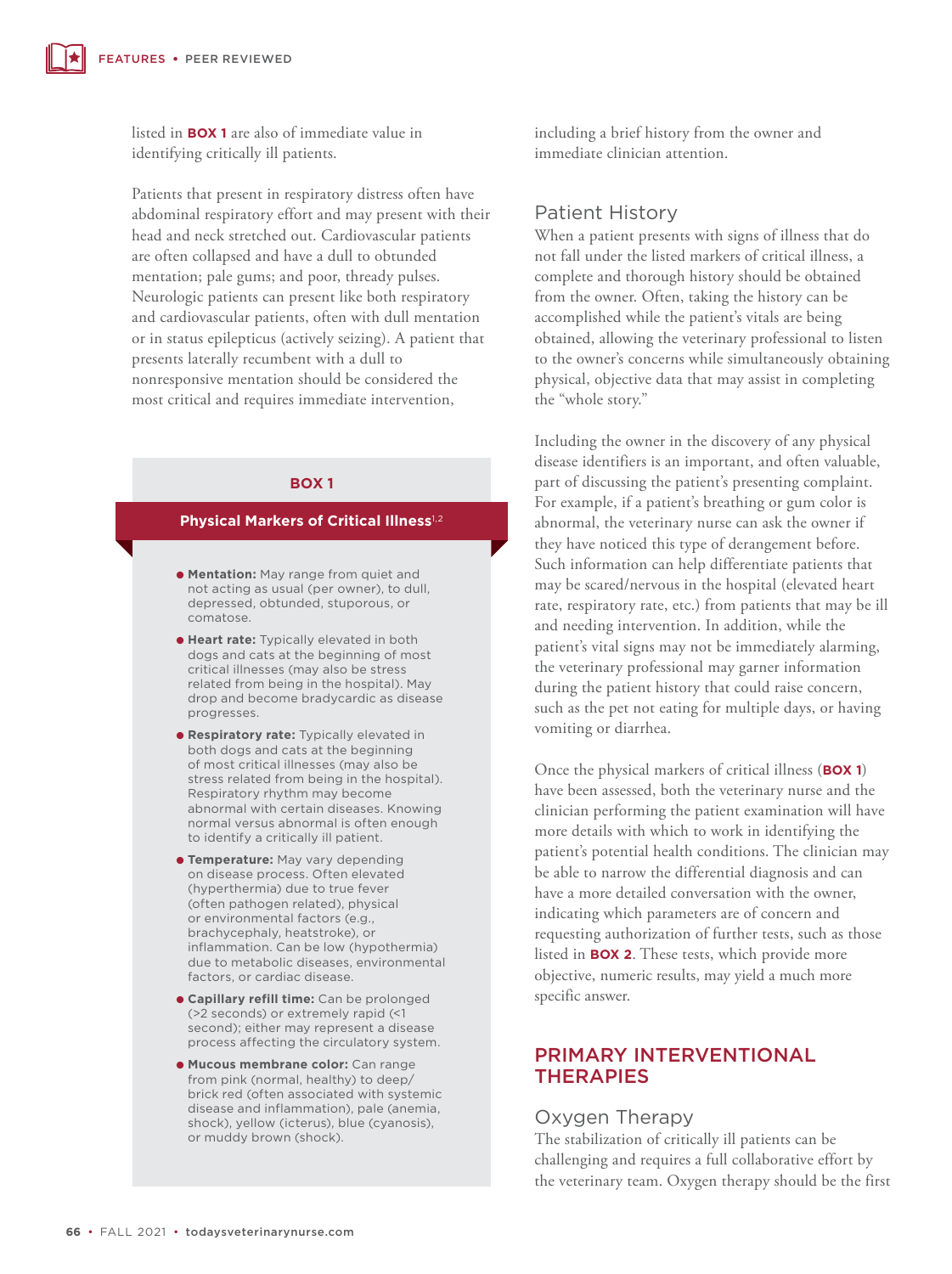listed in **BOX 1** are also of immediate value in identifying critically ill patients.

Patients that present in respiratory distress often have abdominal respiratory effort and may present with their head and neck stretched out. Cardiovascular patients are often collapsed and have a dull to obtunded mentation; pale gums; and poor, thready pulses. Neurologic patients can present like both respiratory and cardiovascular patients, often with dull mentation or in status epilepticus (actively seizing). A patient that presents laterally recumbent with a dull to nonresponsive mentation should be considered the most critical and requires immediate intervention,

#### **BOX 1**

#### **Physical Markers of Critical Illness**1,2

- **Mentation:** May range from quiet and not acting as usual (per owner), to dull, depressed, obtunded, stuporous, or comatose.
- **Heart rate:** Typically elevated in both dogs and cats at the beginning of most critical illnesses (may also be stress related from being in the hospital). May drop and become bradycardic as disease progresses.
- O **Respiratory rate:** Typically elevated in both dogs and cats at the beginning of most critical illnesses (may also be stress related from being in the hospital). Respiratory rhythm may become abnormal with certain diseases. Knowing normal versus abnormal is often enough to identify a critically ill patient.
- **Temperature:** May vary depending on disease process. Often elevated (hyperthermia) due to true fever (often pathogen related), physical or environmental factors (e.g., brachycephaly, heatstroke), or inflammation. Can be low (hypothermia) due to metabolic diseases, environmental factors, or cardiac disease.
- **capillary refill time:** Can be prolonged (>2 seconds) or extremely rapid (<1 second); either may represent a disease process affecting the circulatory system.
- $\bullet$  **Mucous membrane color:** Can range from pink (normal, healthy) to deep/ brick red (often associated with systemic disease and inflammation), pale (anemia, shock), yellow (icterus), blue (cyanosis), or muddy brown (shock).

including a brief history from the owner and immediate clinician attention.

#### Patient History

When a patient presents with signs of illness that do not fall under the listed markers of critical illness, a complete and thorough history should be obtained from the owner. Often, taking the history can be accomplished while the patient's vitals are being obtained, allowing the veterinary professional to listen to the owner's concerns while simultaneously obtaining physical, objective data that may assist in completing the "whole story."

Including the owner in the discovery of any physical disease identifiers is an important, and often valuable, part of discussing the patient's presenting complaint. For example, if a patient's breathing or gum color is abnormal, the veterinary nurse can ask the owner if they have noticed this type of derangement before. Such information can help differentiate patients that may be scared/nervous in the hospital (elevated heart rate, respiratory rate, etc.) from patients that may be ill and needing intervention. In addition, while the patient's vital signs may not be immediately alarming, the veterinary professional may garner information during the patient history that could raise concern, such as the pet not eating for multiple days, or having vomiting or diarrhea.

Once the physical markers of critical illness (**BOX 1**) have been assessed, both the veterinary nurse and the clinician performing the patient examination will have more details with which to work in identifying the patient's potential health conditions. The clinician may be able to narrow the differential diagnosis and can have a more detailed conversation with the owner, indicating which parameters are of concern and requesting authorization of further tests, such as those listed in **BOX 2**. These tests, which provide more objective, numeric results, may yield a much more specific answer.

# PRIMARY INTERVENTIONAL **THERAPIES**

#### Oxygen Therapy

The stabilization of critically ill patients can be challenging and requires a full collaborative effort by the veterinary team. Oxygen therapy should be the first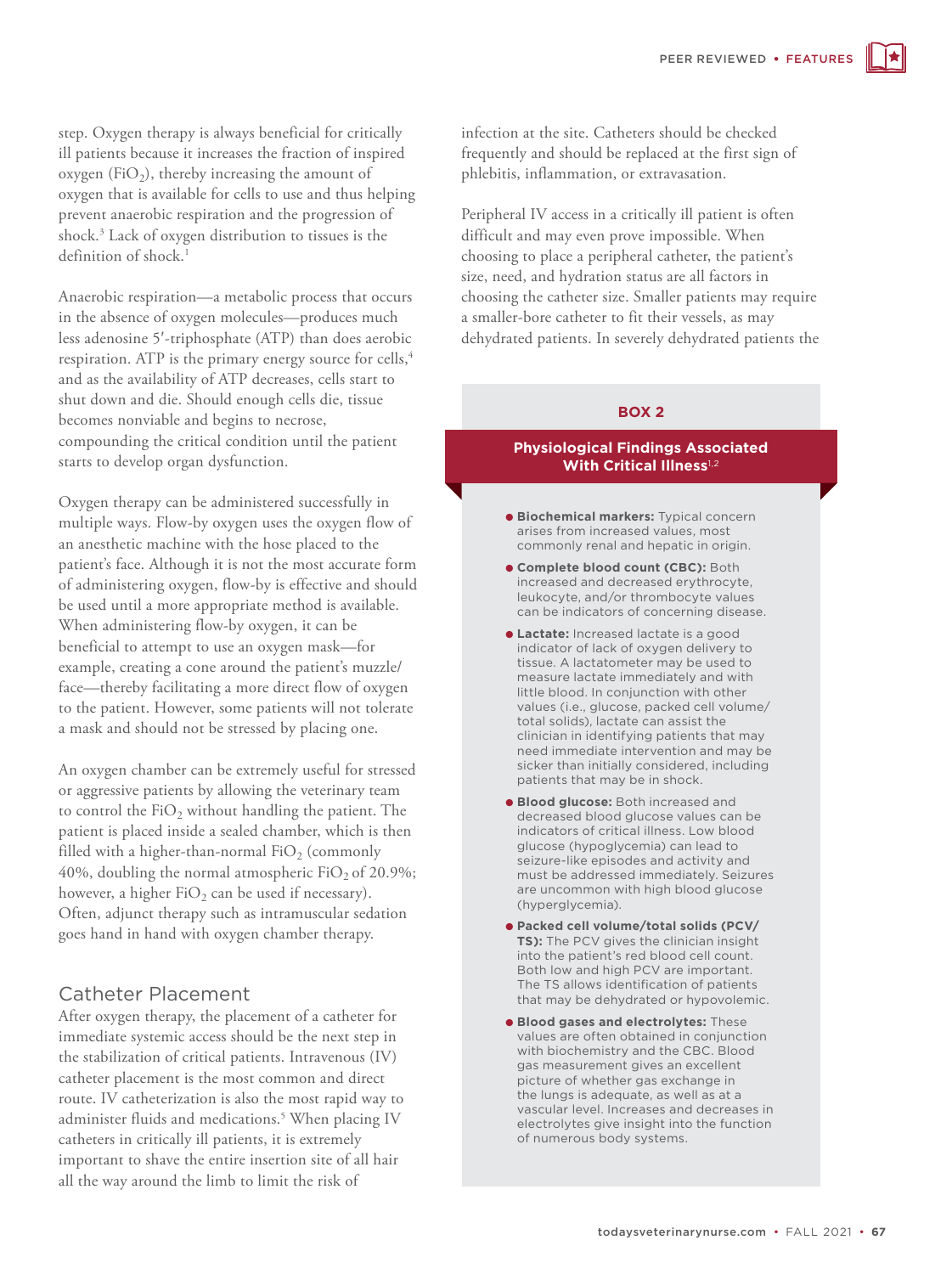step. Oxygen therapy is always beneficial for critically ill patients because it increases the fraction of inspired oxygen (FiO<sub>2</sub>), thereby increasing the amount of oxygen that is available for cells to use and thus helping prevent anaerobic respiration and the progression of shock.3 Lack of oxygen distribution to tissues is the definition of shock.<sup>1</sup>

Anaerobic respiration—a metabolic process that occurs in the absence of oxygen molecules—produces much less adenosine 5'-triphosphate (ATP) than does aerobic respiration. ATP is the primary energy source for cells,<sup>4</sup> and as the availability of ATP decreases, cells start to shut down and die. Should enough cells die, tissue becomes nonviable and begins to necrose, compounding the critical condition until the patient starts to develop organ dysfunction.

Oxygen therapy can be administered successfully in multiple ways. Flow-by oxygen uses the oxygen flow of an anesthetic machine with the hose placed to the patient's face. Although it is not the most accurate form of administering oxygen, flow-by is effective and should be used until a more appropriate method is available. When administering flow-by oxygen, it can be beneficial to attempt to use an oxygen mask—for example, creating a cone around the patient's muzzle/ face—thereby facilitating a more direct flow of oxygen to the patient. However, some patients will not tolerate a mask and should not be stressed by placing one.

An oxygen chamber can be extremely useful for stressed or aggressive patients by allowing the veterinary team to control the  $FiO<sub>2</sub>$  without handling the patient. The patient is placed inside a sealed chamber, which is then filled with a higher-than-normal  $FiO<sub>2</sub>$  (commonly 40%, doubling the normal atmospheric  $FiO<sub>2</sub>$  of 20.9%; however, a higher  $FiO<sub>2</sub>$  can be used if necessary). Often, adjunct therapy such as intramuscular sedation goes hand in hand with oxygen chamber therapy.

# Catheter Placement

After oxygen therapy, the placement of a catheter for immediate systemic access should be the next step in the stabilization of critical patients. Intravenous (IV) catheter placement is the most common and direct route. IV catheterization is also the most rapid way to administer fluids and medications.5 When placing IV catheters in critically ill patients, it is extremely important to shave the entire insertion site of all hair all the way around the limb to limit the risk of

infection at the site. Catheters should be checked frequently and should be replaced at the first sign of phlebitis, inflammation, or extravasation.

Peripheral IV access in a critically ill patient is often difficult and may even prove impossible. When choosing to place a peripheral catheter, the patient's size, need, and hydration status are all factors in choosing the catheter size. Smaller patients may require a smaller-bore catheter to fit their vessels, as may dehydrated patients. In severely dehydrated patients the

#### **BOX 2**

#### **Physiological Findings Associated With Critical Illness**1,2

- $\bullet$  **Biochemical markers:** Typical concern arises from increased values, most commonly renal and hepatic in origin.
- **.** Complete blood count (CBC): Both increased and decreased erythrocyte, leukocyte, and/or thrombocyte values can be indicators of concerning disease.
- O **Lactate:** Increased lactate is a good indicator of lack of oxygen delivery to tissue. A lactatometer may be used to measure lactate immediately and with little blood. In conjunction with other values (i.e., glucose, packed cell volume/ total solids), lactate can assist the clinician in identifying patients that may need immediate intervention and may be sicker than initially considered, including patients that may be in shock.
- **e Blood glucose:** Both increased and decreased blood glucose values can be indicators of critical illness. Low blood glucose (hypoglycemia) can lead to seizure-like episodes and activity and must be addressed immediately. Seizures are uncommon with high blood glucose (hyperglycemia).
- O **Packed cell volume/total solids (PCV/ TS):** The PCV gives the clinician insight into the patient's red blood cell count. Both low and high PCV are important. The TS allows identification of patients that may be dehydrated or hypovolemic.
- $\bullet$  **Blood gases and electrolytes:** These values are often obtained in conjunction with biochemistry and the CBC. Blood gas measurement gives an excellent picture of whether gas exchange in the lungs is adequate, as well as at a vascular level. Increases and decreases in electrolytes give insight into the function of numerous body systems.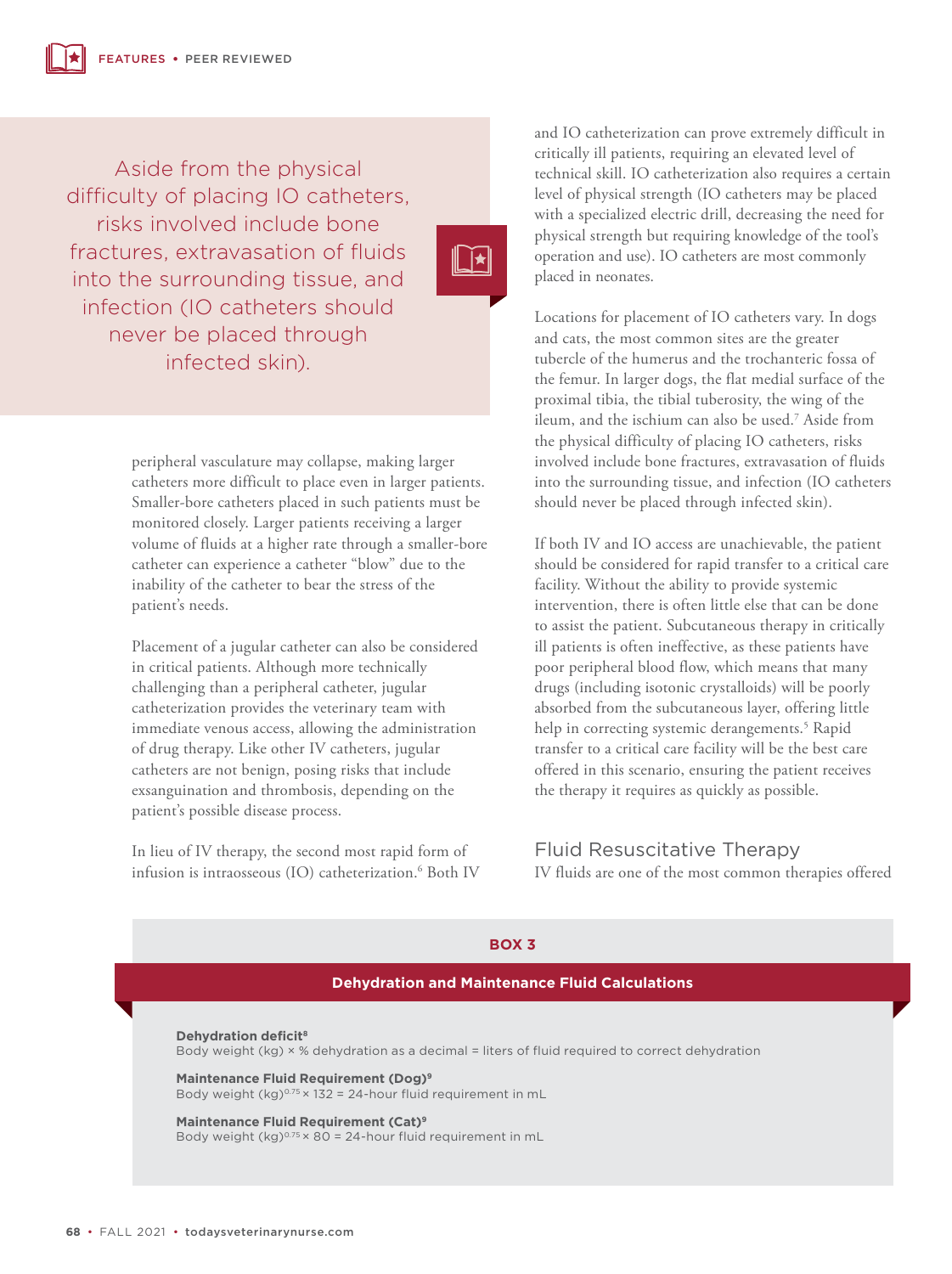Aside from the physical difficulty of placing IO catheters, risks involved include bone fractures, extravasation of fluids into the surrounding tissue, and infection (IO catheters should never be placed through infected skin).

 $\prod$ k

peripheral vasculature may collapse, making larger catheters more difficult to place even in larger patients. Smaller-bore catheters placed in such patients must be monitored closely. Larger patients receiving a larger volume of fluids at a higher rate through a smaller-bore catheter can experience a catheter "blow" due to the inability of the catheter to bear the stress of the patient's needs.

Placement of a jugular catheter can also be considered in critical patients. Although more technically challenging than a peripheral catheter, jugular catheterization provides the veterinary team with immediate venous access, allowing the administration of drug therapy. Like other IV catheters, jugular catheters are not benign, posing risks that include exsanguination and thrombosis, depending on the patient's possible disease process.

In lieu of IV therapy, the second most rapid form of infusion is intraosseous (IO) catheterization.6 Both IV and IO catheterization can prove extremely difficult in critically ill patients, requiring an elevated level of technical skill. IO catheterization also requires a certain level of physical strength (IO catheters may be placed with a specialized electric drill, decreasing the need for physical strength but requiring knowledge of the tool's operation and use). IO catheters are most commonly placed in neonates.

Locations for placement of IO catheters vary. In dogs and cats, the most common sites are the greater tubercle of the humerus and the trochanteric fossa of the femur. In larger dogs, the flat medial surface of the proximal tibia, the tibial tuberosity, the wing of the ileum, and the ischium can also be used.7 Aside from the physical difficulty of placing IO catheters, risks involved include bone fractures, extravasation of fluids into the surrounding tissue, and infection (IO catheters should never be placed through infected skin).

If both IV and IO access are unachievable, the patient should be considered for rapid transfer to a critical care facility. Without the ability to provide systemic intervention, there is often little else that can be done to assist the patient. Subcutaneous therapy in critically ill patients is often ineffective, as these patients have poor peripheral blood flow, which means that many drugs (including isotonic crystalloids) will be poorly absorbed from the subcutaneous layer, offering little help in correcting systemic derangements.5 Rapid transfer to a critical care facility will be the best care offered in this scenario, ensuring the patient receives the therapy it requires as quickly as possible.

Fluid Resuscitative Therapy IV fluids are one of the most common therapies offered

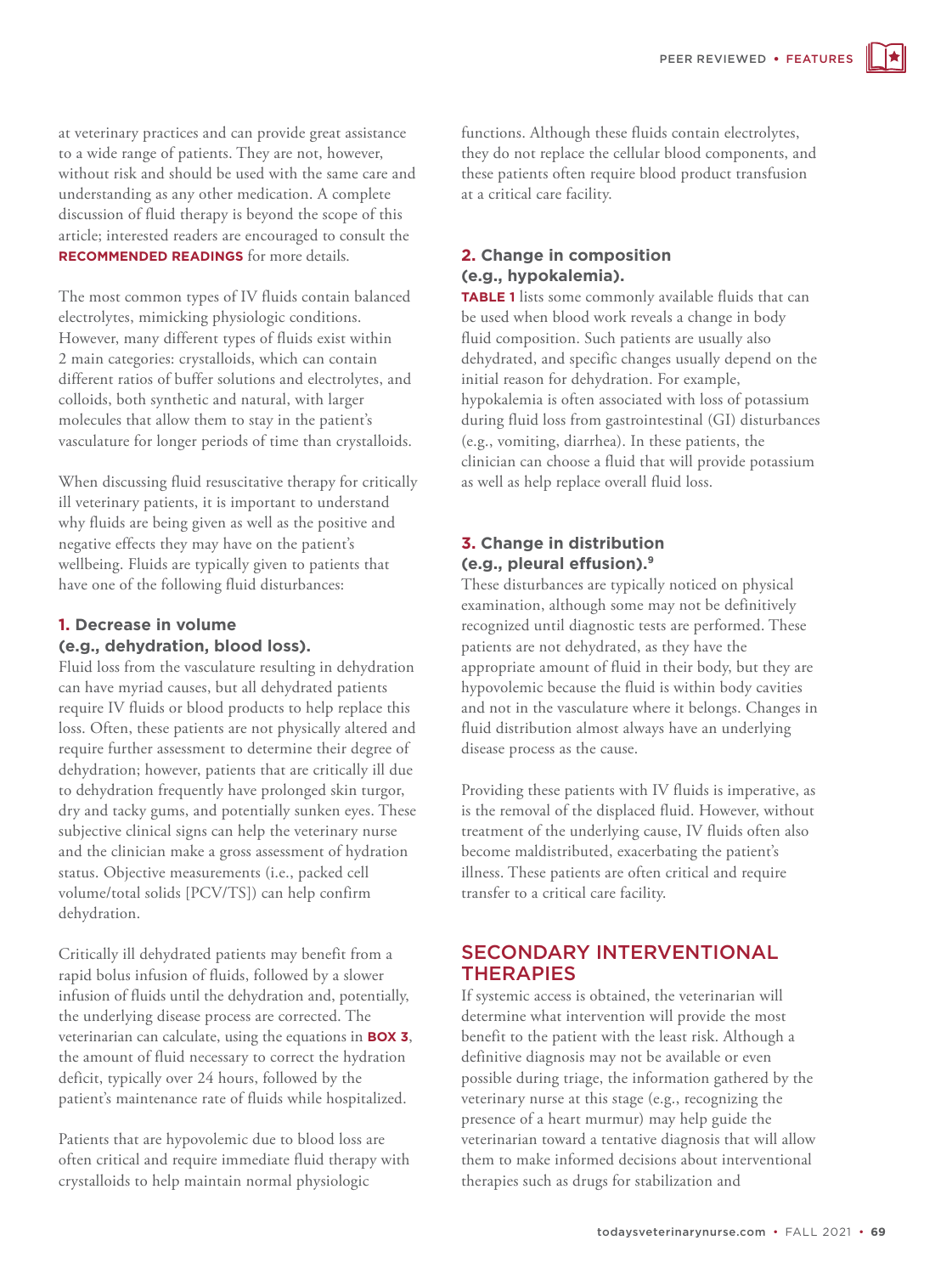at veterinary practices and can provide great assistance to a wide range of patients. They are not, however, without risk and should be used with the same care and understanding as any other medication. A complete discussion of fluid therapy is beyond the scope of this article; interested readers are encouraged to consult the **RECOMMENDED READINGS** for more details.

The most common types of IV fluids contain balanced electrolytes, mimicking physiologic conditions. However, many different types of fluids exist within 2 main categories: crystalloids, which can contain different ratios of buffer solutions and electrolytes, and colloids, both synthetic and natural, with larger molecules that allow them to stay in the patient's vasculature for longer periods of time than crystalloids.

When discussing fluid resuscitative therapy for critically ill veterinary patients, it is important to understand why fluids are being given as well as the positive and negative effects they may have on the patient's wellbeing. Fluids are typically given to patients that have one of the following fluid disturbances:

# **1. Decrease in volume (e.g., dehydration, blood loss).**

Fluid loss from the vasculature resulting in dehydration can have myriad causes, but all dehydrated patients require IV fluids or blood products to help replace this loss. Often, these patients are not physically altered and require further assessment to determine their degree of dehydration; however, patients that are critically ill due to dehydration frequently have prolonged skin turgor, dry and tacky gums, and potentially sunken eyes. These subjective clinical signs can help the veterinary nurse and the clinician make a gross assessment of hydration status. Objective measurements (i.e., packed cell volume/total solids [PCV/TS]) can help confirm dehydration.

Critically ill dehydrated patients may benefit from a rapid bolus infusion of fluids, followed by a slower infusion of fluids until the dehydration and, potentially, the underlying disease process are corrected. The veterinarian can calculate, using the equations in **BOX 3**, the amount of fluid necessary to correct the hydration deficit, typically over 24 hours, followed by the patient's maintenance rate of fluids while hospitalized.

Patients that are hypovolemic due to blood loss are often critical and require immediate fluid therapy with crystalloids to help maintain normal physiologic

functions. Although these fluids contain electrolytes, they do not replace the cellular blood components, and these patients often require blood product transfusion at a critical care facility.

#### **2. Change in composition (e.g., hypokalemia).**

**TABLE 1** lists some commonly available fluids that can be used when blood work reveals a change in body fluid composition. Such patients are usually also dehydrated, and specific changes usually depend on the initial reason for dehydration. For example, hypokalemia is often associated with loss of potassium during fluid loss from gastrointestinal (GI) disturbances (e.g., vomiting, diarrhea). In these patients, the clinician can choose a fluid that will provide potassium as well as help replace overall fluid loss.

#### **3. Change in distribution (e.g., pleural effusion).9**

These disturbances are typically noticed on physical examination, although some may not be definitively recognized until diagnostic tests are performed. These patients are not dehydrated, as they have the appropriate amount of fluid in their body, but they are hypovolemic because the fluid is within body cavities and not in the vasculature where it belongs. Changes in fluid distribution almost always have an underlying disease process as the cause.

Providing these patients with IV fluids is imperative, as is the removal of the displaced fluid. However, without treatment of the underlying cause, IV fluids often also become maldistributed, exacerbating the patient's illness. These patients are often critical and require transfer to a critical care facility.

# SECONDARY INTERVENTIONAL **THERAPIES**

If systemic access is obtained, the veterinarian will determine what intervention will provide the most benefit to the patient with the least risk. Although a definitive diagnosis may not be available or even possible during triage, the information gathered by the veterinary nurse at this stage (e.g., recognizing the presence of a heart murmur) may help guide the veterinarian toward a tentative diagnosis that will allow them to make informed decisions about interventional therapies such as drugs for stabilization and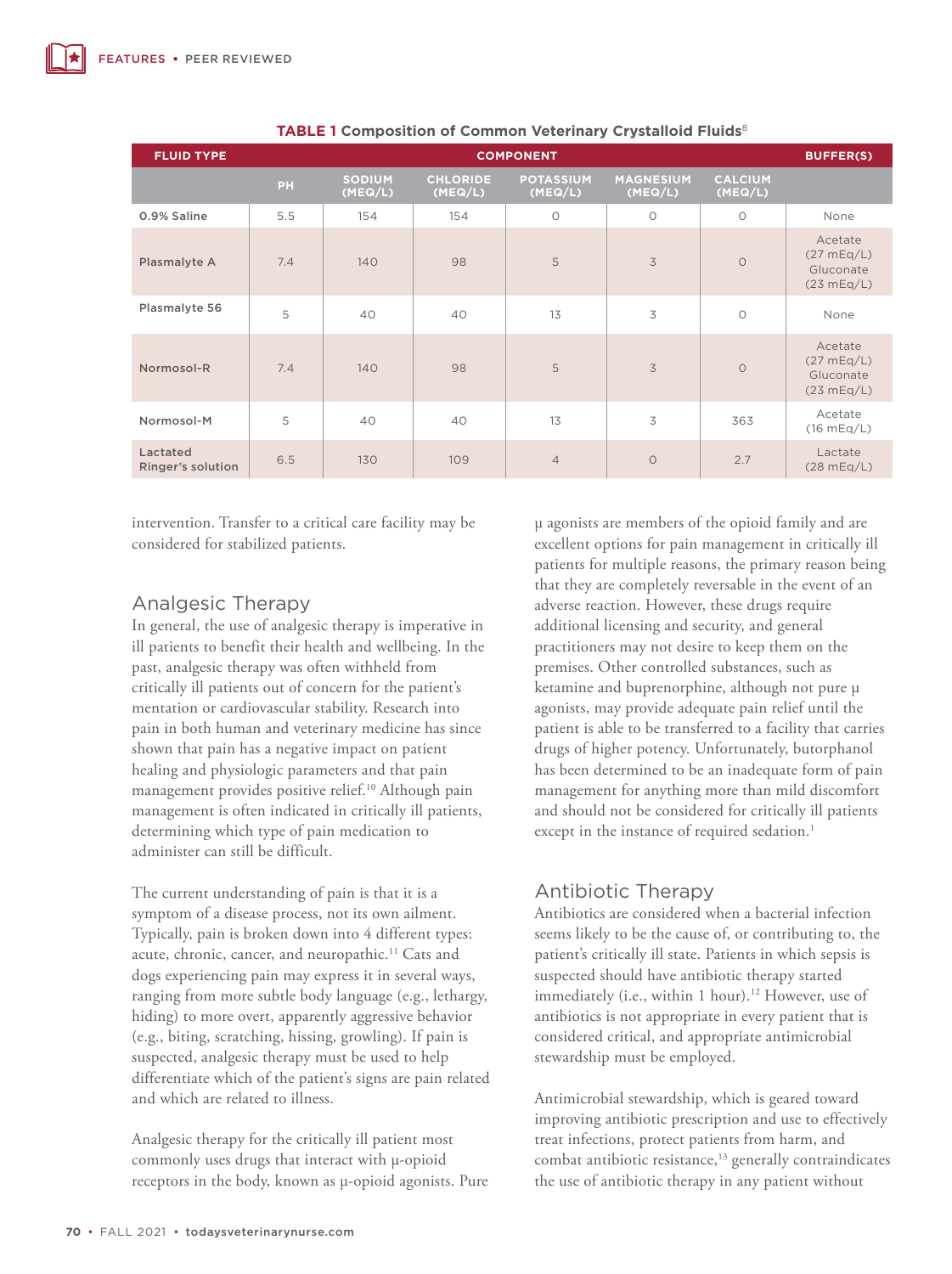| <b>FLUID TYPE</b>             | <b>COMPONENT</b> |                          |                            |                             |                             |                           | <b>BUFFER(S)</b>                                 |
|-------------------------------|------------------|--------------------------|----------------------------|-----------------------------|-----------------------------|---------------------------|--------------------------------------------------|
|                               | PH               | <b>SODIUM</b><br>(MEQ/L) | <b>CHLORIDE</b><br>(MEQ/L) | <b>POTASSIUM</b><br>(MEQ/L) | <b>MAGNESIUM</b><br>(MEQ/L) | <b>CALCIUM</b><br>(MEQ/L) |                                                  |
| 0.9% Saline                   | 5.5              | 154                      | 154                        | $\circ$                     | $\circ$                     | $\circ$                   | None                                             |
| Plasmalyte A                  | 7.4              | 140                      | 98                         | 5                           | 3                           | $\circ$                   | Acetate<br>(27 mEq/L)<br>Gluconate<br>(23 mEq/L) |
| Plasmalyte 56                 | 5                | 40                       | 40                         | 13                          | 3                           | $\circ$                   | None                                             |
| Normosol-R                    | 7.4              | 140                      | 98                         | 5                           | 3                           | $\circ$                   | Acetate<br>(27 mEq/L)<br>Gluconate<br>(23 mEq/L) |
| Normosol-M                    | 5                | 40                       | 40                         | 13                          | 3                           | 363                       | Acetate<br>(16 mEq/L)                            |
| Lactated<br>Ringer's solution | 6.5              | 130                      | 109                        | $\overline{4}$              | $\circ$                     | 2.7                       | Lactate<br>(28 mEq/L)                            |

#### **TABLE 1 Composition of Common Veterinary Crystalloid Fluids**<sup>8</sup>

intervention. Transfer to a critical care facility may be considered for stabilized patients.

# Analgesic Therapy

In general, the use of analgesic therapy is imperative in ill patients to benefit their health and wellbeing. In the past, analgesic therapy was often withheld from critically ill patients out of concern for the patient's mentation or cardiovascular stability. Research into pain in both human and veterinary medicine has since shown that pain has a negative impact on patient healing and physiologic parameters and that pain management provides positive relief.10 Although pain management is often indicated in critically ill patients, determining which type of pain medication to administer can still be difficult.

The current understanding of pain is that it is a symptom of a disease process, not its own ailment. Typically, pain is broken down into 4 different types: acute, chronic, cancer, and neuropathic.<sup>11</sup> Cats and dogs experiencing pain may express it in several ways, ranging from more subtle body language (e.g., lethargy, hiding) to more overt, apparently aggressive behavior (e.g., biting, scratching, hissing, growling). If pain is suspected, analgesic therapy must be used to help differentiate which of the patient's signs are pain related and which are related to illness.

Analgesic therapy for the critically ill patient most commonly uses drugs that interact with μ-opioid receptors in the body, known as μ-opioid agonists. Pure

μ agonists are members of the opioid family and are excellent options for pain management in critically ill patients for multiple reasons, the primary reason being that they are completely reversable in the event of an adverse reaction. However, these drugs require additional licensing and security, and general practitioners may not desire to keep them on the premises. Other controlled substances, such as ketamine and buprenorphine, although not pure μ agonists, may provide adequate pain relief until the patient is able to be transferred to a facility that carries drugs of higher potency. Unfortunately, butorphanol has been determined to be an inadequate form of pain management for anything more than mild discomfort and should not be considered for critically ill patients except in the instance of required sedation.<sup>1</sup>

# Antibiotic Therapy

Antibiotics are considered when a bacterial infection seems likely to be the cause of, or contributing to, the patient's critically ill state. Patients in which sepsis is suspected should have antibiotic therapy started immediately (i.e., within 1 hour).<sup>12</sup> However, use of antibiotics is not appropriate in every patient that is considered critical, and appropriate antimicrobial stewardship must be employed.

Antimicrobial stewardship, which is geared toward improving antibiotic prescription and use to effectively treat infections, protect patients from harm, and combat antibiotic resistance,<sup>13</sup> generally contraindicates the use of antibiotic therapy in any patient without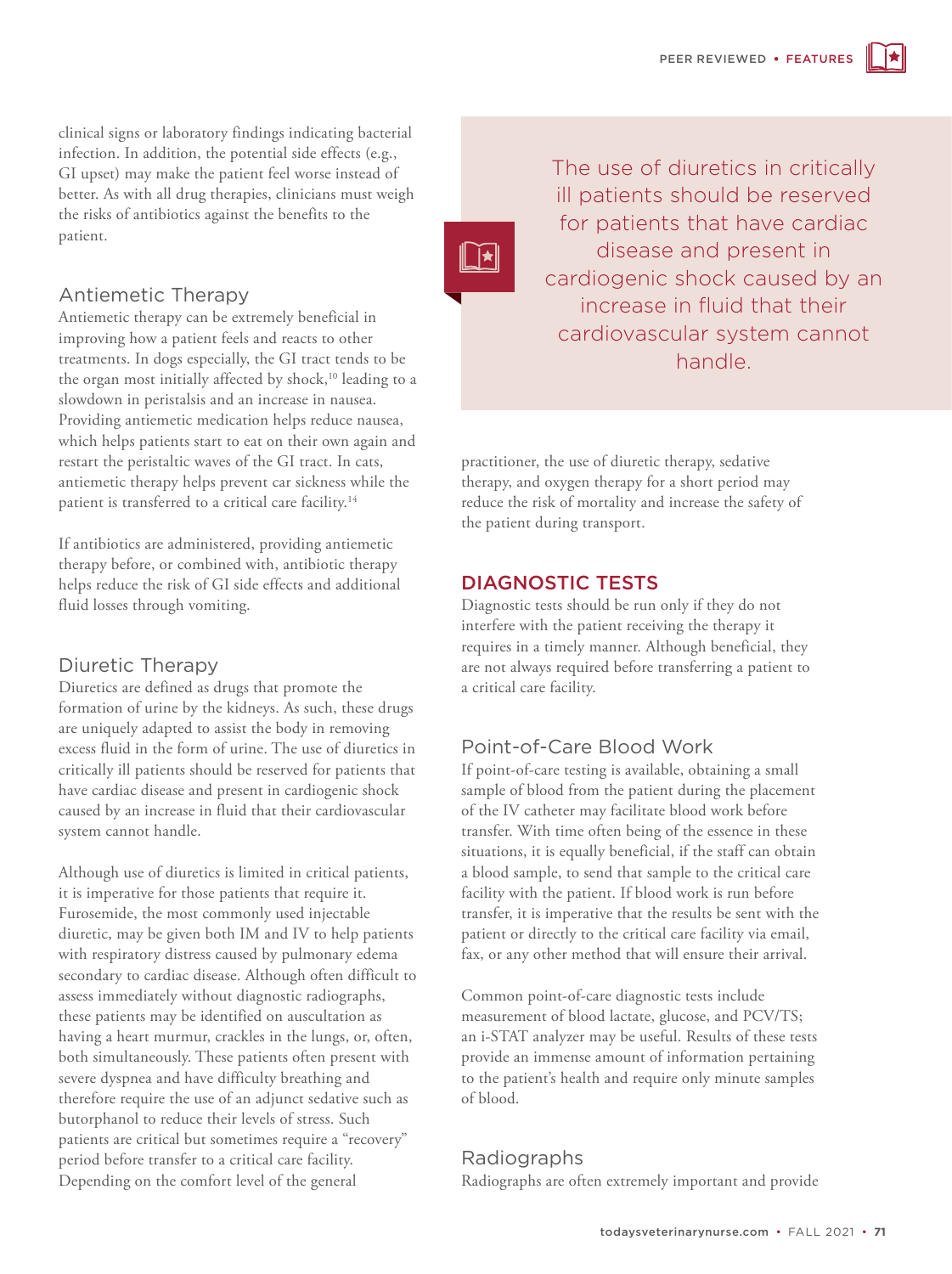clinical signs or laboratory findings indicating bacterial infection. In addition, the potential side effects (e.g., GI upset) may make the patient feel worse instead of better. As with all drug therapies, clinicians must weigh the risks of antibiotics against the benefits to the patient.

# Antiemetic Therapy

Antiemetic therapy can be extremely beneficial in improving how a patient feels and reacts to other treatments. In dogs especially, the GI tract tends to be the organ most initially affected by shock,<sup>10</sup> leading to a slowdown in peristalsis and an increase in nausea. Providing antiemetic medication helps reduce nausea, which helps patients start to eat on their own again and restart the peristaltic waves of the GI tract. In cats, antiemetic therapy helps prevent car sickness while the patient is transferred to a critical care facility.<sup>14</sup>

If antibiotics are administered, providing antiemetic therapy before, or combined with, antibiotic therapy helps reduce the risk of GI side effects and additional fluid losses through vomiting.

#### Diuretic Therapy

Diuretics are defined as drugs that promote the formation of urine by the kidneys. As such, these drugs are uniquely adapted to assist the body in removing excess fluid in the form of urine. The use of diuretics in critically ill patients should be reserved for patients that have cardiac disease and present in cardiogenic shock caused by an increase in fluid that their cardiovascular system cannot handle.

Although use of diuretics is limited in critical patients, it is imperative for those patients that require it. Furosemide, the most commonly used injectable diuretic, may be given both IM and IV to help patients with respiratory distress caused by pulmonary edema secondary to cardiac disease. Although often difficult to assess immediately without diagnostic radiographs, these patients may be identified on auscultation as having a heart murmur, crackles in the lungs, or, often, both simultaneously. These patients often present with severe dyspnea and have difficulty breathing and therefore require the use of an adjunct sedative such as butorphanol to reduce their levels of stress. Such patients are critical but sometimes require a "recovery" period before transfer to a critical care facility. Depending on the comfort level of the general

The use of diuretics in critically ill patients should be reserved for patients that have cardiac disease and present in cardiogenic shock caused by an increase in fluid that their cardiovascular system cannot handle.

practitioner, the use of diuretic therapy, sedative therapy, and oxygen therapy for a short period may reduce the risk of mortality and increase the safety of the patient during transport.

#### DIAGNOSTIC TESTS

\_∫★

Diagnostic tests should be run only if they do not interfere with the patient receiving the therapy it requires in a timely manner. Although beneficial, they are not always required before transferring a patient to a critical care facility.

# Point-of-Care Blood Work

If point-of-care testing is available, obtaining a small sample of blood from the patient during the placement of the IV catheter may facilitate blood work before transfer. With time often being of the essence in these situations, it is equally beneficial, if the staff can obtain a blood sample, to send that sample to the critical care facility with the patient. If blood work is run before transfer, it is imperative that the results be sent with the patient or directly to the critical care facility via email, fax, or any other method that will ensure their arrival.

Common point-of-care diagnostic tests include measurement of blood lactate, glucose, and PCV/TS; an i-STAT analyzer may be useful. Results of these tests provide an immense amount of information pertaining to the patient's health and require only minute samples of blood.

# Radiographs

Radiographs are often extremely important and provide